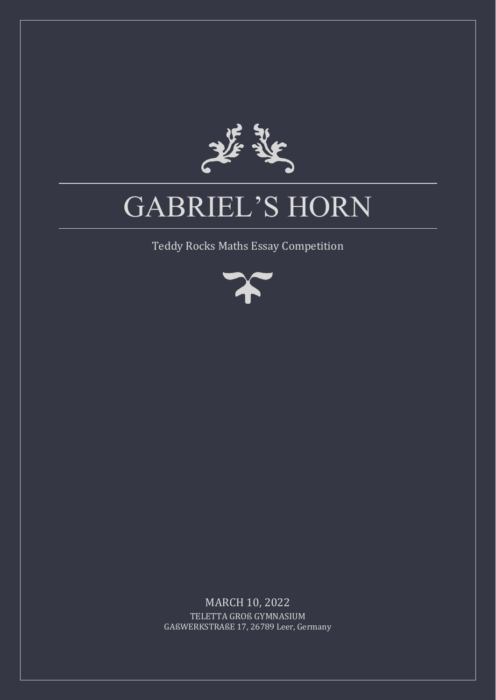

# GABRIEL'S HORN

Teddy Rocks Maths Essay Competition



MARCH 10, 2022 TELETTA GROß GYMNASIUM GAßWERKSTRAßE 17, 26789 Leer, Germany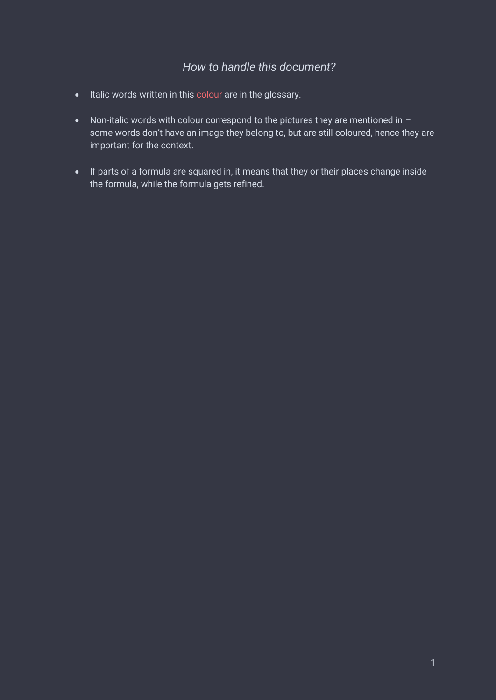# *How to handle this document?*

- Italic words written in this colour are in the glossary.
- Non-italic words with colour correspond to the pictures they are mentioned in some words don't have an image they belong to, but are still coloured, hence they are important for the context.
- If parts of a formula are squared in, it means that they or their places change inside the formula, while the formula gets refined.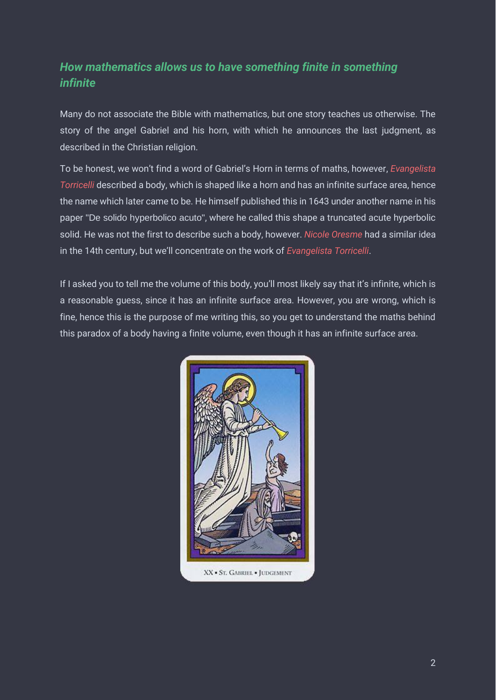# *How mathematics allows us to have something finite in something infinite*

Many do not associate the Bible with mathematics, but one story teaches us otherwise. The story of the angel Gabriel and his horn, with which he announces the last judgment, as described in the Christian religion.

To be honest, we won't find a word of Gabriel's Horn in terms of maths, however, *Evangelista Torricelli* described a body, which is shaped like a horn and has an infinite surface area, hence the name which later came to be. He himself published this in 1643 under another name in his paper "De solido hyperbolico acuto", where he called this shape a truncated acute hyperbolic solid. He was not the first to describe such a body, however. *Nicole Oresme* had a similar idea in the 14th century, but we'll concentrate on the work of *Evangelista Torricelli*.

If I asked you to tell me the volume of this body, you'll most likely say that it's infinite, which is a reasonable guess, since it has an infinite surface area. However, you are wrong, which is fine, hence this is the purpose of me writing this, so you get to understand the maths behind this paradox of a body having a finite volume, even though it has an infinite surface area.

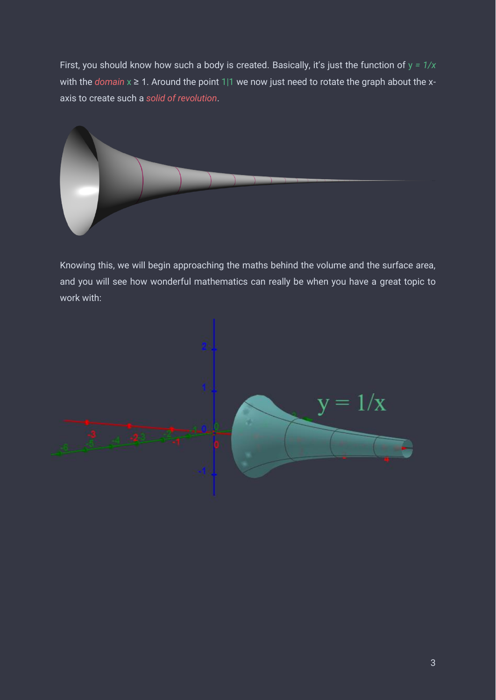First, you should know how such a body is created. Basically, it's just the function of y *= 1/x* with the *domain* x ≥ 1. Around the point 1|1 we now just need to rotate the graph about the xaxis to create such a *solid of revolution*.



Knowing this, we will begin approaching the maths behind the volume and the surface area, and you will see how wonderful mathematics can really be when you have a great topic to work with:

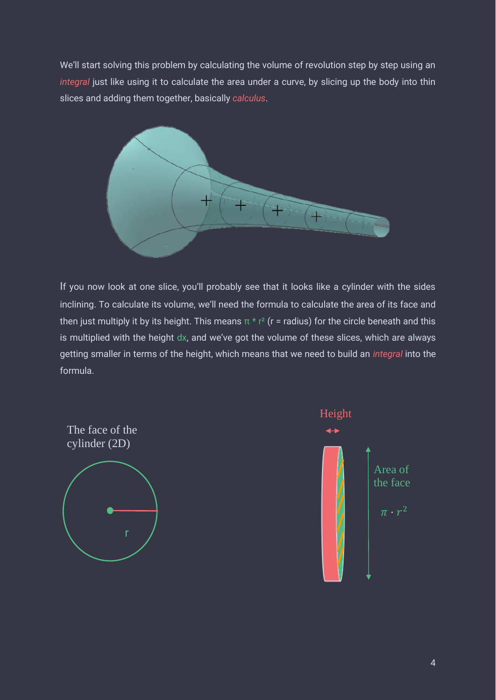We'll start solvi[n](https://en.wikipedia.org/wiki/Integral)g this problem by calculating the volume of revolution step by step using an *integral* just like using it to calculate the area under a curve, by slicing up the body into thin slices and adding them together, basically *calculus*.



If you now look at one slice, you'll probably see that it looks like a cylinder with the sides inclining. To calculate its volume, we'll need the formula to calculate the area of its face and then just multiply it by its height. This means  $\pi * r^2$  (r = radius) for the circle beneath and this is multiplied with the height dx, and we've got the volume of these slices, which are always getting smaller in terms of the height, which means that we need to build an *integral* into the formula.



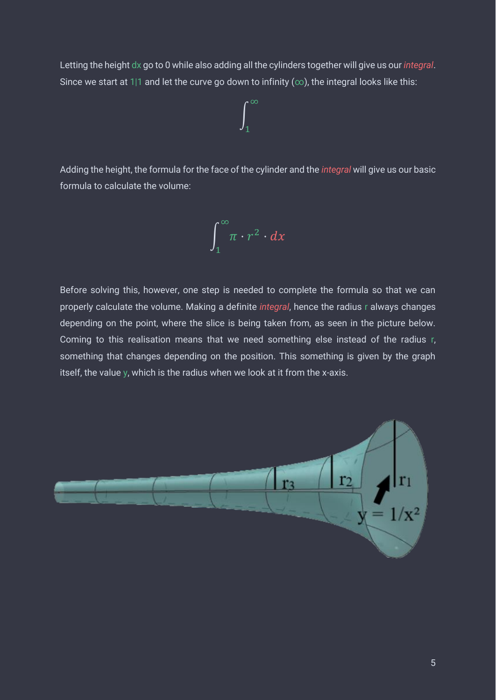Letting the height dx go to 0 while also adding all the cylinders together will give us our *integral*. Since we start at 1|1 and let the curve go down to infinity ( $\infty$ ), the integral looks like this:

$$
\int_1^\infty
$$

Adding the height, the formula for the face of the cylinder and the *integral* will give us our basic formula to calculate the volume:

$$
\int_1^\infty \pi \cdot r^2 \cdot dx
$$

Before solving this, however, one step is needed to complete the formula so that we can properly calculate the volume. Making a definite *integral*, hence the radius r always changes depending on the point, where the slice is being taken from, as seen in the picture below. Coming to this realisation means that we need something else instead of the radius r, something that changes depending on the position. This something is given by the graph itself, the value y, which is the radius when we look at it from the x-axis.

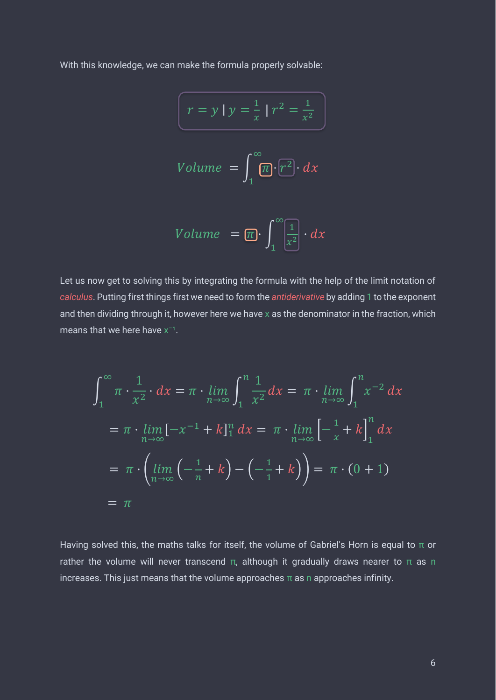With this knowledge, we can make the formula properly solvable:

$$
\int r = y | y = \frac{1}{x} | r^2 = \frac{1}{x^2}
$$

$$
Volume = \int_{1}^{\infty} \overline{m} \cdot \overline{r^2} \cdot dx
$$

$$
Volume = \boxed{\pi} \cdot \int_{1}^{\infty} \frac{1}{x^2} \cdot dx
$$

Let us now get to solving this by integrating the formula with the help of the limit notation of *calculus*. Putting first things first we need to form the *antiderivative* by adding 1 to the exponent and then dividing through it, however here we have x as the denominator in the fraction, which means that we here have  $x^{-1}$ .

$$
\int_{1}^{\infty} \pi \cdot \frac{1}{x^{2}} \cdot dx = \pi \cdot \lim_{n \to \infty} \int_{1}^{n} \frac{1}{x^{2}} dx = \pi \cdot \lim_{n \to \infty} \int_{1}^{n} x^{-2} dx
$$
  
=  $\pi \cdot \lim_{n \to \infty} [-x^{-1} + k]_{1}^{n} dx = \pi \cdot \lim_{n \to \infty} [-\frac{1}{x} + k]_{1}^{n} dx$   
=  $\pi \cdot \left( \lim_{n \to \infty} (-\frac{1}{n} + k) - (-\frac{1}{1} + k) \right) = \pi \cdot (0 + 1)$   
=  $\pi$ 

Having solved this, the maths talks for itself, the volume of Gabriel's Horn is equal to  $\pi$  or rather the volume will never transcend π, although it gradually draws nearer to π as n increases. This just means that the volume approaches  $\pi$  as n approaches infinity.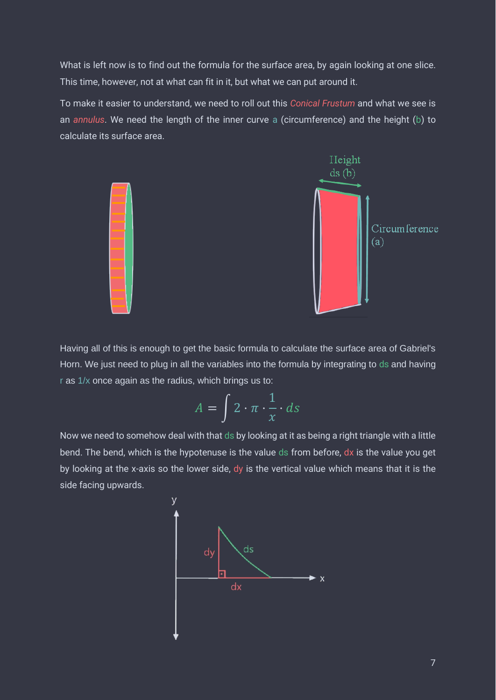What is left now is to find out the formula for the surface area, by again looking at one slice. This time, however, not at what can fit in it, but what we can put around it.

To make it easier to understand, we need to roll out this *Conical Frustum* and what we see is an *annulus*. We need the length of the inner curve a (circumference) and the height (b) to calculate its surface area.



Having all of this is enough to get the basic formula to calculate the surface area of Gabriel's Horn. We just need to plug in all the variables into the formula by integrating to ds and having r as 1/x once again as the radius, which brings us to:

$$
A = \int 2 \cdot \pi \cdot \frac{1}{x} \cdot ds
$$

Now we need to somehow deal with that ds by looking at it as being a right triangle with a little bend. The bend, which is the hypotenuse is the value ds from before, dx is the value you get by looking at the x-axis so the lower side, dy is the vertical value which means that it is the side facing upwards.

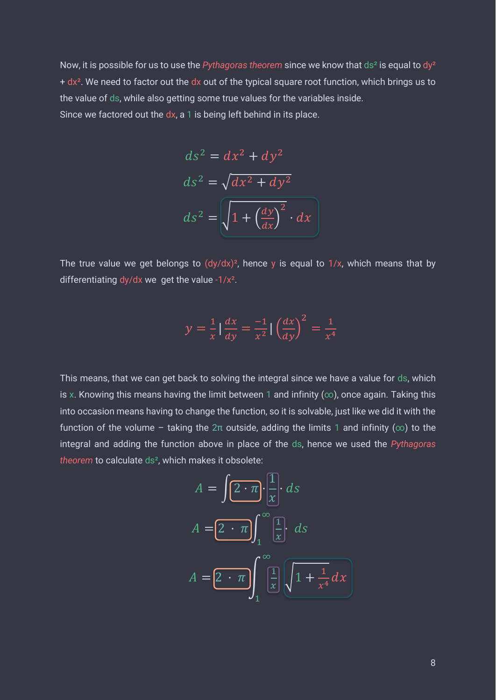Now, it is possible for us to use the *Pythagoras theorem* since we know that ds² is equal to dy²  $+ dx<sup>2</sup>$ . We need to factor out the dx out of the typical square root function, which brings us to the value of ds, while also getting some true values for the variables inside. Since we factored out the  $dx$ , a 1 is being left behind in its place.

$$
ds^{2} = dx^{2} + dy^{2}
$$

$$
ds^{2} = \sqrt{dx^{2} + dy^{2}}
$$

$$
ds^{2} = \sqrt{1 + \left(\frac{dy}{dx}\right)^{2}} \cdot dx
$$

The true value we get belongs to  $(dy/dx)^2$ , hence y is equal to  $1/x$ , which means that by differentiating dy/dx we get the value  $-1/x^2$ .

$$
y = \frac{1}{x} \left| \frac{dx}{dy} \right| = \frac{-1}{x^2} \left| \left( \frac{dx}{dy} \right)^2 \right| = \frac{1}{x^4}
$$

This means, that we can get back to solving the integral since we have a value for ds, which is x. Knowing this means having the limit between 1 and infinity ( $\infty$ ), once again. Taking this into occasion means having to change the function, so it is solvable, just like we did it with the function of the volume – taking the  $2π$  outside, adding the limits 1 and infinity ( $∞$ ) to the integral and adding the function above in place of the ds, hence we used the *Pythagoras theorem* to calculate ds², which makes it obsolete:

$$
A = \int \underbrace{\left(2 \cdot \pi\right)}_{1} \cdot \underbrace{\left(\frac{1}{x}\right)}_{x} ds
$$
\n
$$
A = \underbrace{\left(2 \cdot \pi\right)}_{1} \left(\frac{1}{x}\right) \cdot ds
$$
\n
$$
A = \underbrace{\left(2 \cdot \pi\right)}_{1} \left(\frac{1}{x}\right) \underbrace{\left(1 + \frac{1}{x^{4}} dx\right)}_{x^{4}}
$$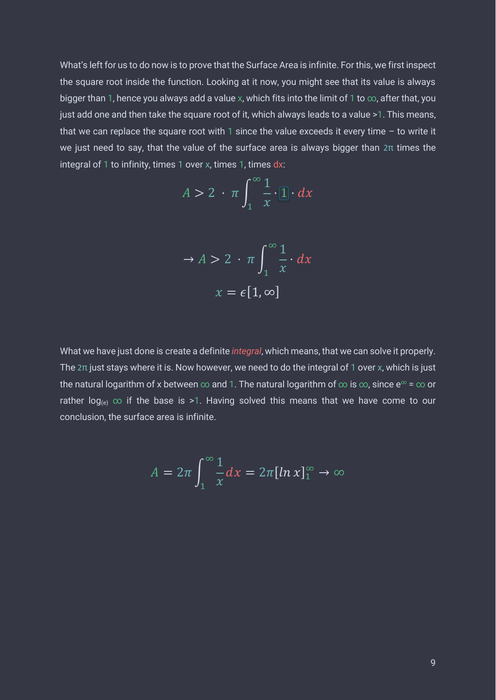What's left for us to do now is to prove that the Surface Area is infinite. For this, we first inspect the square root inside the function. Looking at it now, you might see that its value is always bigger than 1, hence you always add a value x, which fits into the limit of 1 to  $\infty$ , after that, you just add one and then take the square root of it, which always leads to a value >1. This means, that we can replace the square root with 1 since the value exceeds it every time  $-$  to write it we just need to say, that the value of the surface area is always bigger than 2π times the integral of 1 to infinity, times 1 over x, times 1, times dx:

$$
A > 2 \cdot \pi \int_{1}^{\infty} \frac{1}{x} \cdot [1] \cdot dx
$$

$$
\Rightarrow A > 2 \cdot \pi \int_{1}^{\infty} \frac{1}{x} \cdot dx
$$

$$
x = \epsilon [1, \infty]
$$

What we have just done is create a definite *integral*, which means, that we can solve it properly. The  $2\pi$  just stays where it is. Now however, we need to do the integral of 1 over x, which is just the natural logarithm of x between  $\infty$  and 1. The natural logarithm of  $\infty$  is  $\infty$ , since  $e^{\infty}$  =  $\infty$  or rather log<sub>(e)</sub>  $\infty$  if the base is >1. Having solved this means that we have come to our conclusion, the surface area is infinite.

$$
A = 2\pi \int_1^{\infty} \frac{1}{x} dx = 2\pi [\ln x]_1^{\infty} \to \infty
$$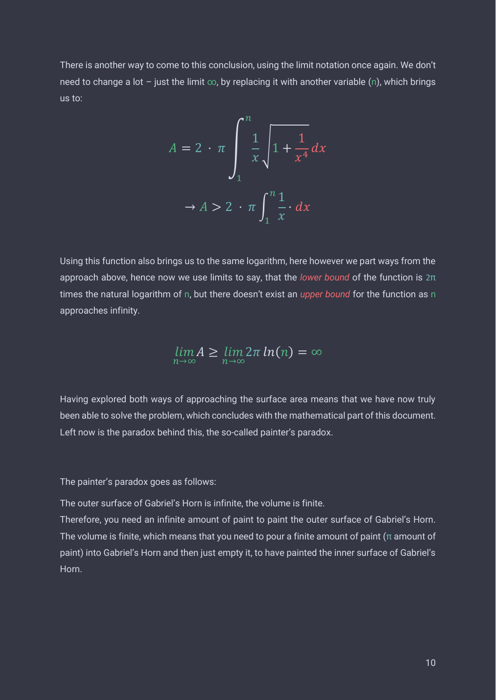There is another way to come to this conclusion, using the limit notation once again. We don't need to change a lot – just the limit  $∞$ , by replacing it with another variable (n), which brings us to:

$$
A = 2 \cdot \pi \int_{1}^{n} \frac{1}{x} \sqrt{1 + \frac{1}{x^4}} dx
$$

$$
\to A > 2 \cdot \pi \int_{1}^{n} \frac{1}{x} dx
$$

Using this function also brings us to the same logarithm, here however we part ways from the approach above, hence now we use limits to say, that the *lower bound* of the function is 2π times the natural logarithm of n, but there doesn't exist an *upper bound* for the function as n approaches infinity.

$$
\lim_{n\to\infty} A \ge \lim_{n\to\infty} 2\pi \ln(n) = \infty
$$

Having explored both ways of approaching the surface area means that we have now truly been able to solve the problem, which concludes with the mathematical part of this document. Left now is the paradox behind this, the so-called painter's paradox.

The painter's paradox goes as follows:

The outer surface of Gabriel's Horn is infinite, the volume is finite.

Therefore, you need an infinite amount of paint to paint the outer surface of Gabriel's Horn. The volume is finite, which means that you need to pour a finite amount of paint ( $\pi$  amount of paint) into Gabriel's Horn and then just empty it, to have painted the inner surface of Gabriel's Horn.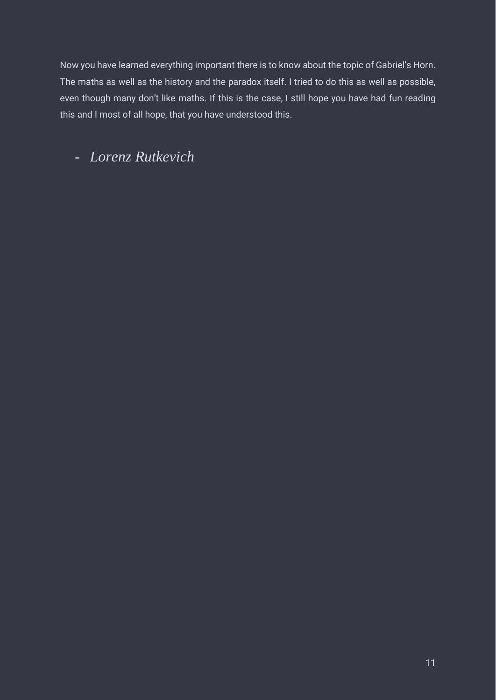Now you have learned everything important there is to know about the topic of Gabriel's Horn. The maths as well as the history and the paradox itself. I tried to do this as well as possible, even though many don't like maths. If this is the case, I still hope you have had fun reading this and I most of all hope, that you have understood this.

# - *Lorenz Rutkevich*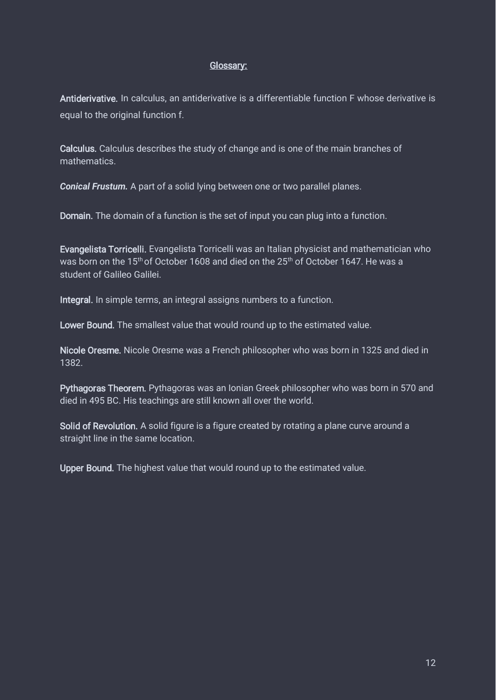#### Glossary:

Antiderivative. In calculus, an antiderivative is a differentiable function F whose derivative is equal to the original function f.

Calculus. Calculus describes the study of change and is one of the main branches of mathematics.

*Conical Frustum.* A part of a solid lying between one or two parallel planes.

Domain. The domain of a function is the set of input you can plug into a function.

Evangelista Torricelli. Evangelista Torricelli was an Italian physicist and mathematician who was born on the 15<sup>th</sup> of October 1608 and died on the 25<sup>th</sup> of October 1647. He was a student of Galileo Galilei.

Integral. In simple terms, an integral assigns numbers to a function.

Lower Bound. The smallest value that would round up to the estimated value.

Nicole Oresme. Nicole Oresme was a French philosopher who was born in 1325 and died in 1382.

Pythagoras Theorem. Pythagoras was an Ionian Greek philosopher who was born in 570 and died in 495 BC. His teachings are still known all over the world.

Solid of Revolution. A solid figure is a figure created by rotating a plane curve around a straight line in the same location.

Upper Bound. The highest value that would round up to the estimated value.